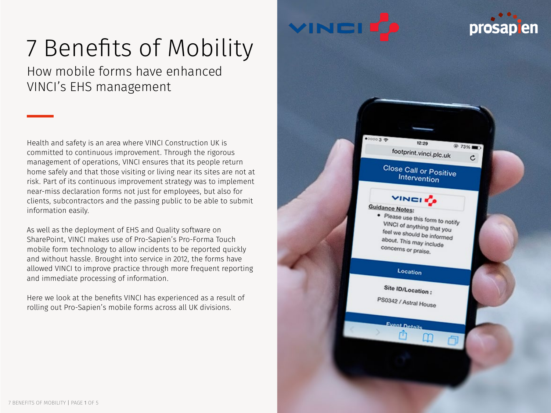# 7 Benefits of Mobility

How mobile forms have enhanced VINCI's EHS management

Health and safety is an area where VINCI Construction UK is committed to continuous improvement. Through the rigorous management of operations, VINCI ensures that its people return home safely and that those visiting or living near its sites are not at risk. Part of its continuous improvement strategy was to implement near-miss declaration forms not just for employees, but also for clients, subcontractors and the passing public to be able to submit information easily.

As well as the deployment of EHS and Quality software on SharePoint, VINCI makes use of Pro-Sapien's Pro-Forma Touch mobile form technology to allow incidents to be reported quickly and without hassle. Brought into service in 2012, the forms have allowed VINCI to improve practice through more frequent reporting and immediate processing of information.

Here we look at the benefits VINCI has experienced as a result of rolling out Pro-Sapien's mobile forms across all UK divisions.





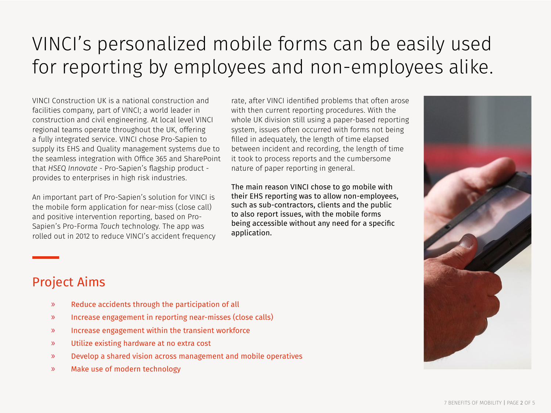## VINCI's personalized mobile forms can be easily used for reporting by employees and non-employees alike.

VINCI Construction UK is a national construction and facilities company, part of VINCI; a world leader in construction and civil engineering. At local level VINCI regional teams operate throughout the UK, offering a fully integrated service. VINCI chose Pro-Sapien to supply its EHS and Quality management systems due to the seamless integration with Office 365 and SharePoint that *HSEQ Innovate* - Pro-Sapien's flagship product provides to enterprises in high risk industries.

An important part of Pro-Sapien's solution for VINCI is the mobile form application for near-miss (close call) and positive intervention reporting, based on Pro-Sapien's Pro-Forma *Touch* technology. The app was rolled out in 2012 to reduce VINCI's accident frequency

rate, after VINCI identified problems that often arose with then current reporting procedures. With the whole UK division still using a paper-based reporting system, issues often occurred with forms not being filled in adequately, the length of time elapsed between incident and recording, the length of time it took to process reports and the cumbersome nature of paper reporting in general.

The main reason VINCI chose to go mobile with their EHS reporting was to allow non-employees, such as sub-contractors, clients and the public to also report issues, with the mobile forms being accessible without any need for a specific application.



#### Project Aims

- » Reduce accidents through the participation of all
- » Increase engagement in reporting near-misses (close calls)
- » Increase engagement within the transient workforce
- » Utilize existing hardware at no extra cost
- » Develop a shared vision across management and mobile operatives
- » Make use of modern technology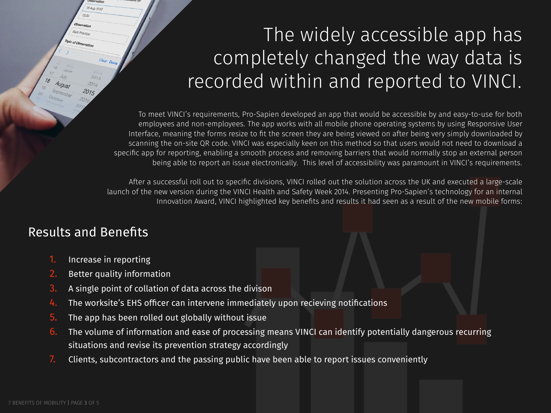### The widely accessible app has completely changed the way data is recorded within and reported to VINCI.

To meet VINCI's requirements, Pro-Sapien developed an app that would be accessible by and easy-to-use for both employees and non-employees. The app works with all mobile phone operating systems by using Responsive User Interface, meaning the forms resize to fit the screen they are being viewed on after being very simply downloaded by scanning the on-site QR code. VINCI was especially keen on this method so that users would not need to download a specific app for reporting, enabling a smooth process and removing barriers that would normally stop an external person being able to report an issue electronically. This level of accessibility was paramount in VINCI's requirements.

After a successful roll out to specific divisions, VINCI rolled out the solution across the UK and executed a large-scale launch of the new version during the VINCI Health and Safety Week 2014. Presenting Pro-Sapien's technology for an internal Innovation Award, VINCI highlighted key benefits and results it had seen as a result of the new mobile forms:

#### Results and Benefits

18 Aug 2014

 $12.3$ Servati Best Practice pic of Observation

- 1. Increase in reporting
- 2. Better quality information
- 3. A single point of collation of data across the divison
- 4. The worksite's EHS officer can intervene immediately upon recieving notifications
- 5. The app has been rolled out globally without issue
- 6. The volume of information and ease of processing means VINCI can identify potentially dangerous recurring situations and revise its prevention strategy accordingly
- 7. Clients, subcontractors and the passing public have been able to report issues conveniently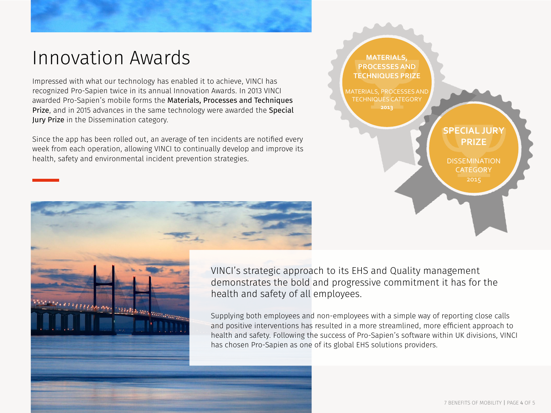### Innovation Awards

Impressed with what our technology has enabled it to achieve, VINCI has recognized Pro-Sapien twice in its annual Innovation Awards. In 2013 VINCI awarded Pro-Sapien's mobile forms the Materials, Processes and Techniques Prize, and in 2015 advances in the same technology were awarded the Special Jury Prize in the Dissemination category.

Since the app has been rolled out, an average of ten incidents are notified every week from each operation, allowing VINCI to continually develop and improve its health, safety and environmental incident prevention strategies.





VINCI's strategic approach to its EHS and Quality management demonstrates the bold and progressive commitment it has for the health and safety of all employees.

Supplying both employees and non-employees with a simple way of reporting close calls and positive interventions has resulted in a more streamlined, more efficient approach to health and safety. Following the success of Pro-Sapien's software within UK divisions, VINCI has chosen Pro-Sapien as one of its global EHS solutions providers.